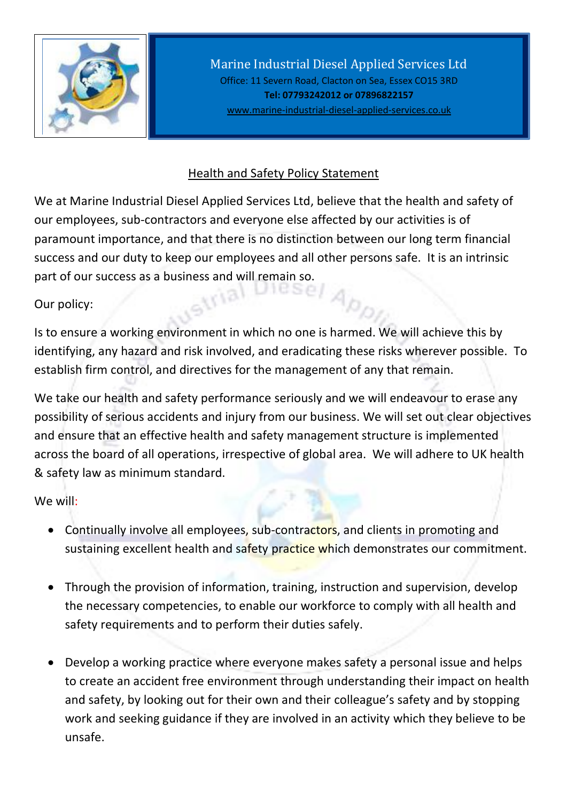

Marine Industrial Diesel Applied Services Ltd Office: 11 Severn Road, Clacton on Sea, Essex CO15 3RD **Tel: 07793242012 or 07896822157** [www.marine-industrial-diesel-applied-services.co.uk](http://www.marine-industrial-diesel-applied-services.co.uk/)

## Health and Safety Policy Statement

We at Marine Industrial Diesel Applied Services Ltd, believe that the health and safety of our employees, sub-contractors and everyone else affected by our activities is of paramount importance, and that there is no distinction between our long term financial success and our duty to keep our employees and all other persons safe. It is an intrinsic part of our success as a business and will remain so.<br> **Example 20** 

6Ny

Our policy:

Is to ensure a working environment in which no one is harmed. We will achieve this by identifying, any hazard and risk involved, and eradicating these risks wherever possible. To establish firm control, and directives for the management of any that remain.

We take our health and safety performance seriously and we will endeavour to erase any possibility of serious accidents and injury from our business. We will set out clear objectives and ensure that an effective health and safety management structure is implemented across the board of all operations, irrespective of global area. We will adhere to UK health & safety law as minimum standard.

We will:

- Continually involve all employees, sub-contractors, and clients in promoting and sustaining excellent health and safety practice which demonstrates our commitment.
- Through the provision of information, training, instruction and supervision, develop the necessary competencies, to enable our workforce to comply with all health and safety requirements and to perform their duties safely.
- Develop a working practice where everyone makes safety a personal issue and helps to create an accident free environment through understanding their impact on health and safety, by looking out for their own and their colleague's safety and by stopping work and seeking guidance if they are involved in an activity which they believe to be unsafe.